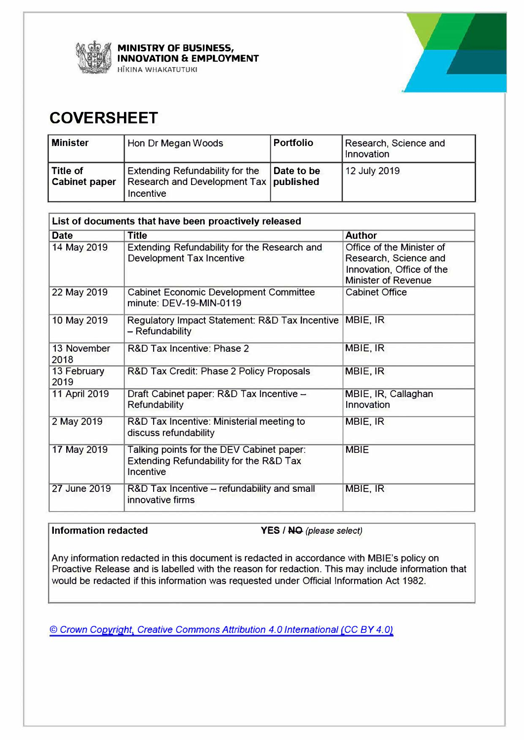

**MINISTRY OF BUSINESS, INNOVATION & EMPLOYMENT HIKINA WHAKATUTUKI** 



## **COVERSHEET**

| <b>Minister</b>                  | Hon Dr Megan Woods                                                                       | <b>Portfolio</b> | Research, Science and<br>Innovation |
|----------------------------------|------------------------------------------------------------------------------------------|------------------|-------------------------------------|
| Title of<br><b>Cabinet paper</b> | Extending Refundability for the<br>Research and Development Tax   published<br>Incentive | Date to be       | 12 July 2019                        |

| List of documents that have been proactively released |                                                                                                   |                                                                                                               |  |
|-------------------------------------------------------|---------------------------------------------------------------------------------------------------|---------------------------------------------------------------------------------------------------------------|--|
| <b>Date</b>                                           | <b>Title</b>                                                                                      | <b>Author</b>                                                                                                 |  |
| 14 May 2019                                           | Extending Refundability for the Research and<br>Development Tax Incentive                         | Office of the Minister of<br>Research, Science and<br>Innovation, Office of the<br><b>Minister of Revenue</b> |  |
| 22 May 2019                                           | <b>Cabinet Economic Development Committee</b><br>minute: DEV-19-MIN-0119                          | <b>Cabinet Office</b>                                                                                         |  |
| 10 May 2019                                           | Regulatory Impact Statement: R&D Tax Incentive<br>- Refundability                                 | MBIE, IR                                                                                                      |  |
| 13 November<br>2018                                   | R&D Tax Incentive: Phase 2                                                                        | MBIE, IR                                                                                                      |  |
| 13 February<br>2019                                   | R&D Tax Credit: Phase 2 Policy Proposals                                                          | MBIE, IR                                                                                                      |  |
| 11 April 2019                                         | Draft Cabinet paper: R&D Tax Incentive -<br><b>Refundability</b>                                  | MBIE, IR, Callaghan<br>Innovation                                                                             |  |
| 2 May 2019                                            | R&D Tax Incentive: Ministerial meeting to<br>discuss refundability                                | MBIE, IR                                                                                                      |  |
| 17 May 2019                                           | Talking points for the DEV Cabinet paper:<br>Extending Refundability for the R&D Tax<br>Incentive | <b>MBIE</b>                                                                                                   |  |
| 27 June 2019                                          | R&D Tax Incentive - refundability and small<br>innovative firms                                   | MBIE, IR                                                                                                      |  |

**Information redacted YES / NO** *(please select)* 

Any information redacted in this document is redacted in accordance with MBIE's policy on Proactive Release and is labelled with the reason for redaction. This may include information that would be redacted if this information was requested under Official Information Act 1982.

**©** *Crown Copyright, Creative Commons Attribution 4.0 International (CC BY 4.0)*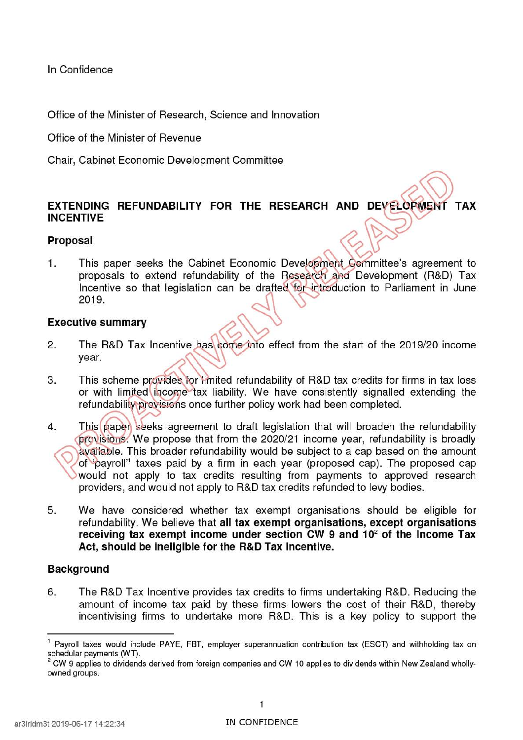In Confidence

Office of the Minister of Research, Science and Innovation

Office of the Minister of Revenue

Chair, Cabinet Economic Development Committee

# **EXTENDING REFUNDABILITY FOR THE RESEARCH AND DEVELOPMENT TAX** INCENTIVE **Proposal**

**Proposal**<br>1. This paper seeks the Cabinet Economic Development Committee's agreement to proposals to extend refundability of the Research and Development (R&D) Tax Incentive so that legislation can be drafted for introduction to Parliament in June 2019.

#### **Executive summary**

- 2. The R&D Tax Incentive has come into effect from the start of the 2019/20 income year.
- 3. This scheme provides for limited refundability of R&D tax credits for firms in tax loss or with limited income tax liability. We have consistently signalled extending the refundability provisions once further policy work had been completed.
- 4. This paper seeks agreement to draft legislation that will broaden the refundability provisions. We propose that from the 2020/21 income year, refundability is broadly available. This broader refundability would be subject to a cap based on the amount ot'payro11'1 taxes paid by a firm in each year (proposed cap). The proposed cap would not apply to tax credits resulting from payments to approved research providers, and would not apply to R&D tax credits refunded to levy bodies.
- 5. We have considered whether tax exempt organisations should be eligible for refundability. We believe that **all tax exempt organisations, except organisations receiving tax exempt income under section CW 9 and 102 of the Income Tax Act, should be ineligible for the R&D Tax Incentive.**

### **Background**

6. The R&D Tax Incentive provides tax credits to firms undertaking R&D. Reducing the amount of income tax paid by these firms lowers the cost of their R&D, thereby incentivising firms to undertake more R&D. This is a key policy to support the

 $1$  Payroll taxes would include PAYE, FBT, employer superannuation contribution tax (ESCT) and withholding tax on schedular payments (WT).

 $2$  CW 9 applies to dividends derived from foreign companies and CW 10 applies to dividends within New Zealand whollyowned groups.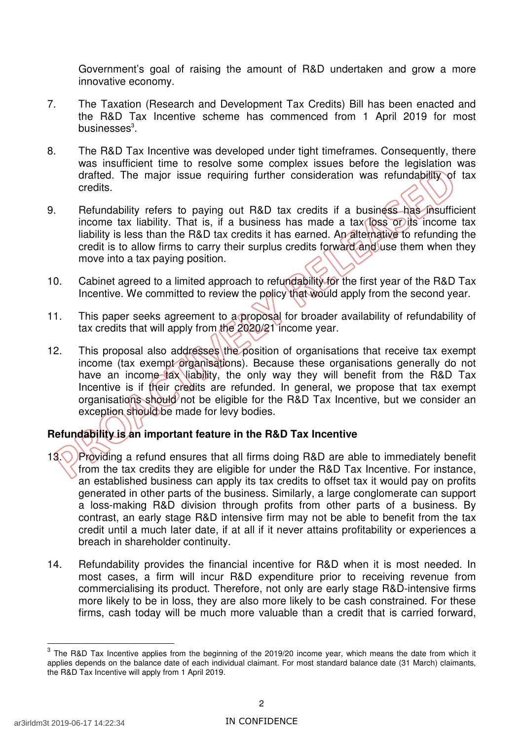Government's goal of raising the amount of R&D undertaken and grow a more innovative economy.

- 7. The Taxation (Research and Development Tax Credits) Bill has been enacted and the R&D Tax Incentive scheme has commenced from 1 April 2019 for most businesses $^3$ .
- 8. The R&D Tax Incentive was developed under tight timeframes. Consequently, there was insufficient time to resolve some complex issues before the legislation was drafted. The major issue requiring further consideration was refundability of tax credits.
- 9. Refundability refers to paying out R&D tax credits if a business has insufficient income tax liability. That is, if a business has made a tax loss or its income tax liability is less than the R&D tax credits it has earned. An alternative to refunding the credit is to allow firms to carry their surplus credits forward and use them when they move into a tax paying position.
- 10. Cabinet agreed to a limited approach to refundability for the first year of the R&D Tax Incentive. We committed to review the policy that would apply from the second year.
- 11. This paper seeks agreement to a proposal for broader availability of refundability of tax credits that will apply from the 2020/21 income year.
- 12. This proposal also addresses the position of organisations that receive tax exempt income (tax exempt organisations). Because these organisations generally do not have an income tax liability, the only way they will benefit from the R&D Tax Incentive is if their credits are refunded. In general, we propose that tax exempt organisations should not be eligible for the R&D Tax Incentive, but we consider an exception should be made for levy bodies.

### **Refundability is an important feature in the R&D Tax Incentive**

- 13. Providing a refund ensures that all firms doing R&D are able to immediately benefit from the tax credits they are eligible for under the R&D Tax Incentive. For instance, an established business can apply its tax credits to offset tax it would pay on profits generated in other parts of the business. Similarly, a large conglomerate can support a loss-making R&D division through profits from other parts of a business. By contrast, an early stage R&D intensive firm may not be able to benefit from the tax credit until a much later date, if at all if it never attains profitability or experiences a breach in shareholder continuity.
- 14. Refundability provides the financial incentive for R&D when it is most needed. In most cases, a firm will incur R&D expenditure prior to receiving revenue from commercialising its product. Therefore, not only are early stage R&D-intensive firms more likely to be in loss, they are also more likely to be cash constrained. For these firms, cash today will be much more valuable than a credit that is carried forward,

 $3$  The R&D Tax Incentive applies from the beginning of the 2019/20 income year, which means the date from which it applies depends on the balance date of each individual claimant. For most standard balance date (31 March) claimants, the R&D Tax Incentive will apply from 1 April 2019.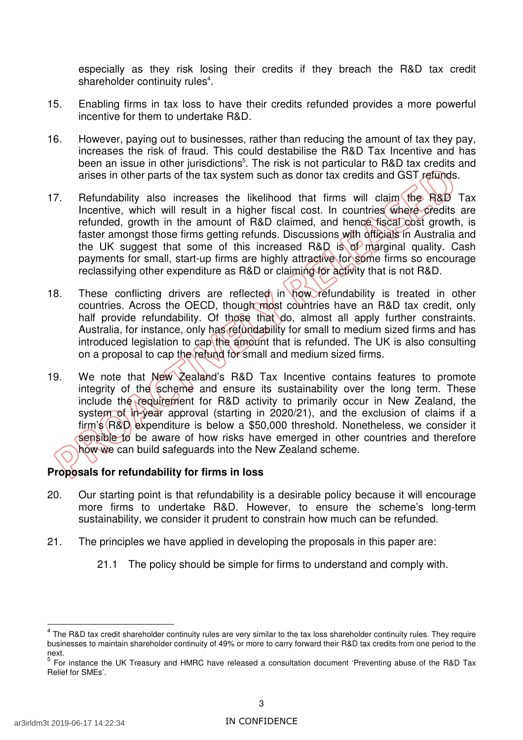especially as they risk losing their credits if they breach the R&D tax credit shareholder continuity rules<sup>4</sup>.

- 15. Enabling firms in tax loss to have their credits refunded provides a more powerful incentive for them to undertake R&D.
- 16. However, paying out to businesses, rather than reducing the amount of tax they pay, increases the risk of fraud. This could destabilise the R&D Tax Incentive and has been an issue in other jurisdictions<sup>5</sup>. The risk is not particular to R&D tax credits and arises in other parts of the tax system such as donor tax credits and GST refunds.
- 17. Refundability also increases the likelihood that firms will claim the R&D Tax Incentive, which will result in a higher fiscal cost. In countries where credits are refunded, growth in the amount of R&D claimed, and hence fiscal cost growth, is faster amongst those firms getting refunds. Discussions with officials in Australia and the UK suggest that some of this increased R&D is of marginal quality. Cash payments for small, start-up firms are highly attractive for some firms so encourage reclassifying other expenditure as R&D or claiming for activity that is not R&D.
- 18. These conflicting drivers are reflected in how refundability is treated in other countries. Across the OECD, though most countries have an R&D tax credit, only half provide refundability. Of those that do, almost all apply further constraints. Australia, for instance, only has refundability for small to medium sized firms and has introduced legislation to cap the amount that is refunded. The UK is also consulting on a proposal to cap the refund for small and medium sized firms.
- 19. We note that New Zealand's R&D Tax Incentive contains features to promote integrity of the scheme and ensure its sustainability over the long term. These include the requirement for R&D activity to primarily occur in New Zealand, the system of in-year approval (starting in 2020/21), and the exclusion of claims if a firm's (R&D expenditure is below a \$50,000 threshold. Nonetheless, we consider it sensible to be aware of how risks have emerged in other countries and therefore how we can build safeguards into the New Zealand scheme.

#### **Proposals for refundability for firms in loss**

- 20. Our starting point is that refundability is a desirable policy because it will encourage more firms to undertake R&D. However, to ensure the scheme's long-term sustainability, we consider it prudent to constrain how much can be refunded.
- 21. The principles we have applied in developing the proposals in this paper are:
	- 21.1 The policy should be simple for firms to understand and comply with.

 $4$  The R&D tax credit shareholder continuity rules are very similar to the tax loss shareholder continuity rules. They require businesses to maintain shareholder continuity of 49% or more to carry forward their R&D tax credits from one period to the next.

next.<br><sup>5</sup> For instance the UK Treasury and HMRC have released a consultation document 'Preventing abuse of the R&D Tax Relief for SMEs'.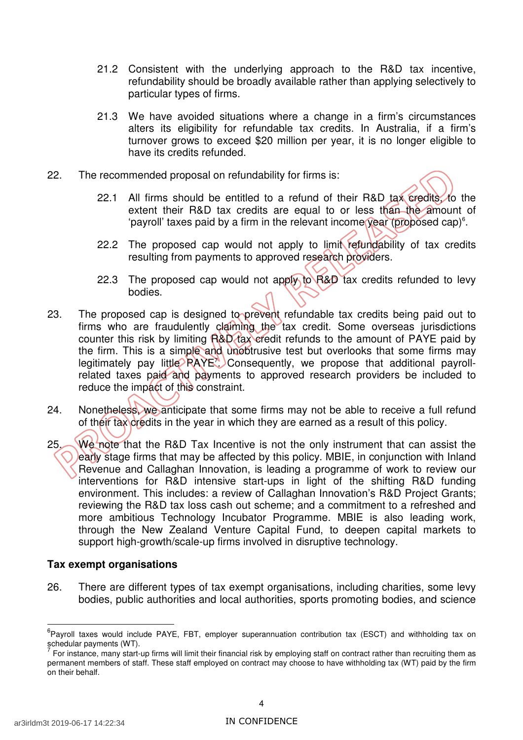- 21.2 Consistent with the underlying approach to the R&D tax incentive, refundability should be broadly available rather than applying selectively to particular types of firms.
- 21.3 We have avoided situations where a change in a firm's circumstances alters its eligibility for refundable tax credits. In Australia, if a firm's turnover grows to exceed \$20 million per year, it is no longer eligible to have its credits refunded.
- 22. The recommended proposal on refundability for firms is:
	- $22.1$ extent their R&D tax credits are equal to or less than the amount of 'payroll' taxes paid by a firm in the relevant income year (proposed cap)<sup>6</sup>. All firms should be entitled to a refund of their R&D tax credits, to the
	- 22.2 The proposed cap would not apply to limit refundability of tax credits resulting from payments to approved research providers.
	- 22.3 The proposed cap would not apply to R&D tax credits refunded to levy bodies.
- 23. The proposed cap is designed to prevent refundable tax credits being paid out to firms who are fraudulently claiming the tax credit. Some overseas jurisdictions counter this risk by limiting R&D tax credit refunds to the amount of PAYE paid by the firm. This is a simple and unobtrusive test but overlooks that some firms may legitimately pay little RAYE<sup>7</sup> Consequently, we propose that additional payrollrelated taxes paid and payments to approved research providers be included to reduce the impact of this constraint.
- 24. Nonetheless, we anticipate that some firms may not be able to receive a full refund of their tax credits in the year in which they are earned as a result of this policy.
- 25. We note that the R&D Tax Incentive is not the only instrument that can assist the early stage firms that may be affected by this policy. MBIE, in conjunction with Inland Revenue and Callaghan Innovation, is leading a programme of work to review our interventions for R&D intensive start-ups in light of the shifting R&D funding environment. This includes: a review of Callaghan Innovation's R&D Project Grants; reviewing the R&D tax loss cash out scheme; and a commitment to a refreshed and more ambitious Technology Incubator Programme. MBIE is also leading work, through the New Zealand Venture Capital Fund, to deepen capital markets to support high-growth/scale-up firms involved in disruptive technology.

#### **Tax exempt organisations**

26. There are different types of tax exempt organisations, including charities, some levy bodies, public authorities and local authorities, sports promoting bodies, and science

<sup>&</sup>lt;sup>6</sup>Payroll taxes would include PAYE, FBT, employer superannuation contribution tax (ESCT) and withholding tax on schedular payments (WT).

 permanent members of staff. These staff employed on contract may choose to have withholding tax (WT) paid by the firm on their behalf.  $^7$  For instance, many start-up firms will limit their financial risk by employing staff on contract rather than recruiting them as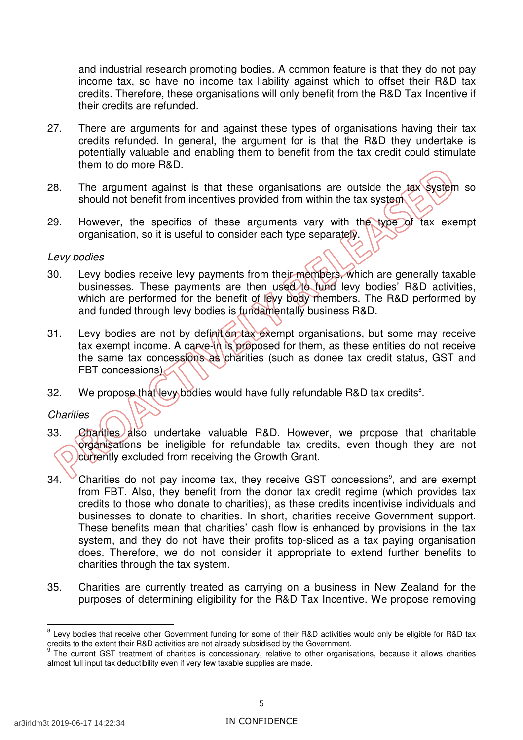and industrial research promoting bodies. A common feature is that they do not pay income tax, so have no income tax liability against which to offset their R&D tax credits. Therefore, these organisations will only benefit from the R&D Tax Incentive if their credits are refunded.

- 27. There are arguments for and against these types of organisations having their tax credits refunded. In general, the argument for is that the R&D they undertake is potentially valuable and enabling them to benefit from the tax credit could stimulate them to do more R&D.
- 28. The argument against is that these organisations are outside the tax system so should not benefit from incentives provided from within the tax system
- 29. However, the specifics of these arguments vary with the type of tax exempt organisation, so it is useful to consider each type separately.

#### Levy bodies

- 30. Levy bodies receive levy payments from their members, which are generally taxable businesses. These payments are then used to fund levy bodies' R&D activities, which are performed for the benefit of levy body members. The R&D performed by and funded through levy bodies is fundamentally business R&D.
- 31. Levy bodies are not by definition tax exempt organisations, but some may receive tax exempt income. A carve-in is proposed for them, as these entities do not receive the same tax concessions as charities (such as donee tax credit status, GST and FBT concessions)
- 32. We propose that levy bodies would have fully refundable R&D tax credits<sup>8</sup>.

#### **Charities**

- 33. Charities also undertake valuable R&D. However, we propose that charitable organisations be ineligible for refundable tax credits, even though they are not currently excluded from receiving the Growth Grant.
- $34.$  Charities do not pay income tax, they receive GST concessions<sup>9</sup>, and are exempt from FBT. Also, they benefit from the donor tax credit regime (which provides tax credits to those who donate to charities), as these credits incentivise individuals and businesses to donate to charities. In short, charities receive Government support. These benefits mean that charities' cash flow is enhanced by provisions in the tax system, and they do not have their profits top-sliced as a tax paying organisation does. Therefore, we do not consider it appropriate to extend further benefits to charities through the tax system.
- 35. Charities are currently treated as carrying on a business in New Zealand for the purposes of determining eligibility for the R&D Tax Incentive. We propose removing

 $^8$  Levy bodies that receive other Government funding for some of their R&D activities would only be eligible for R&D tax credits to the extent their R&D activities are not already subsidised by the Government.

 almost full input tax deductibility even if very few taxable supplies are made. <sup>9</sup> The current GST treatment of charities is concessionary, relative to other organisations, because it allows charities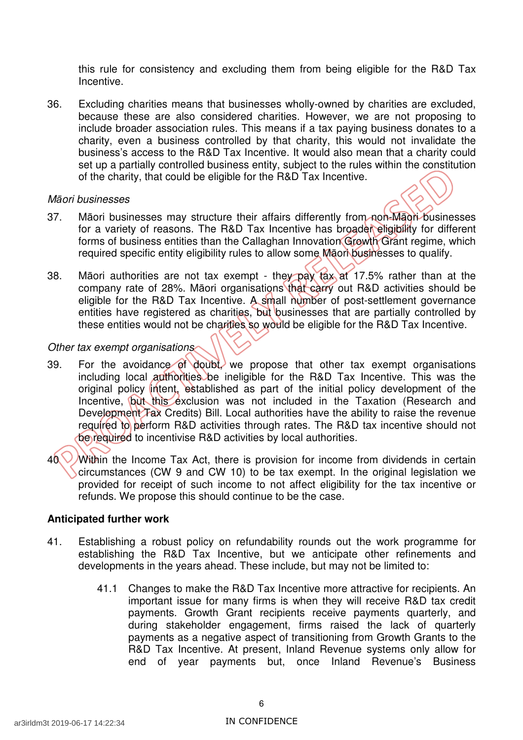this rule for consistency and excluding them from being eligible for the R&D Tax Incentive.

36. Excluding charities means that businesses wholly-owned by charities are excluded, because these are also considered charities. However, we are not proposing to include broader association rules. This means if a tax paying business donates to a charity, even a business controlled by that charity, this would not invalidate the business's access to the R&D Tax Incentive. It would also mean that a charity could set up a partially controlled business entity, subject to the rules within the constitution of the charity, that could be eligible for the R&D Tax Incentive.

#### Māori businesses

- 37. Māori businesses may structure their affairs differently from non-Māori businesses for a variety of reasons. The R&D Tax Incentive has broader eligibility for different forms of business entities than the Callaghan Innovation Growth Grant regime, which required specific entity eligibility rules to allow some Māori businesses to qualify.
- 38. Māori authorities are not tax exempt they pay tax at 17.5% rather than at the company rate of 28%. Māori organisations that carry out R&D activities should be eligible for the R&D Tax Incentive. A small number of post-settlement governance entities have registered as charities, but businesses that are partially controlled by these entities would not be charities so would be eligible for the R&D Tax Incentive.

#### Other tax exempt organisations

- 39. For the avoidance of doubt, we propose that other tax exempt organisations including local authorities be ineligible for the R&D Tax Incentive. This was the original policy intent, established as part of the initial policy development of the Incentive, but this exclusion was not included in the Taxation (Research and Development Tax Credits) Bill. Local authorities have the ability to raise the revenue required to perform R&D activities through rates. The R&D tax incentive should not be required to incentivise R&D activities by local authorities.
- $40$  Within the Income Tax Act, there is provision for income from dividends in certain circumstances (CW 9 and CW 10) to be tax exempt. In the original legislation we provided for receipt of such income to not affect eligibility for the tax incentive or refunds. We propose this should continue to be the case.

#### **Anticipated further work**

- 41. Establishing a robust policy on refundability rounds out the work programme for establishing the R&D Tax Incentive, but we anticipate other refinements and developments in the years ahead. These include, but may not be limited to:
	- 41.1 Changes to make the R&D Tax Incentive more attractive for recipients. An important issue for many firms is when they will receive R&D tax credit payments. Growth Grant recipients receive payments quarterly, and during stakeholder engagement, firms raised the lack of quarterly payments as a negative aspect of transitioning from Growth Grants to the R&D Tax Incentive. At present, Inland Revenue systems only allow for end of year payments but, once Inland Revenue's Business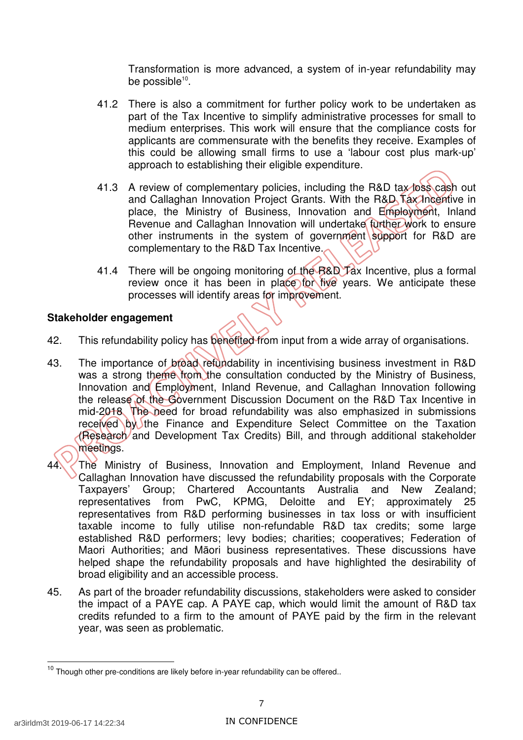Transformation is more advanced, a system of in-year refundability may be possible $^{10}$ .

- 41.2 There is also a commitment for further policy work to be undertaken as part of the Tax Incentive to simplify administrative processes for small to medium enterprises. This work will ensure that the compliance costs for applicants are commensurate with the benefits they receive. Examples of this could be allowing small firms to use a 'labour cost plus mark-up' approach to establishing their eligible expenditure.
- 41.3 A review of complementary policies, including the R&D tax loss cash out and Callaghan Innovation Project Grants. With the R&D Tax Incentive in place, the Ministry of Business, Innovation and Employment, Inland Revenue and Callaghan Innovation will undertake further work to ensure other instruments in the system of government support for R&D are complementary to the R&D Tax Incentive.
- 41.4 There will be ongoing monitoring of the B&D Tax Incentive, plus a formal review once it has been in place for five years. We anticipate these processes will identify areas for improvement.

#### **Stakeholder engagement**

- 42. This refundability policy has benefited from input from a wide array of organisations.
- 43. The importance of broad refundability in incentivising business investment in R&D was a strong theme from the consultation conducted by the Ministry of Business, Innovation and Employment, Inland Revenue, and Callaghan Innovation following the release of the Government Discussion Document on the R&D Tax Incentive in mid-2018. The need for broad refundability was also emphasized in submissions received by the Finance and Expenditure Select Committee on the Taxation (Research and Development Tax Credits) Bill, and through additional stakeholder meetings.
- 44. The Ministry of Business, Innovation and Employment, Inland Revenue and Callaghan Innovation have discussed the refundability proposals with the Corporate Taxpavers' representatives from PwC, KPMG, Deloitte and EY; approximately 25 representatives from R&D performing businesses in tax loss or with insufficient taxable income to fully utilise non-refundable R&D tax credits; some large established R&D performers; levy bodies; charities; cooperatives; Federation of Maori Authorities; and Māori business representatives. These discussions have helped shape the refundability proposals and have highlighted the desirability of broad eligibility and an accessible process. Group; Chartered Accountants Australia and New Zealand;
- 45. As part of the broader refundability discussions, stakeholders were asked to consider the impact of a PAYE cap. A PAYE cap, which would limit the amount of R&D tax credits refunded to a firm to the amount of PAYE paid by the firm in the relevant year, was seen as problematic.

 $10$  Though other pre-conditions are likely before in-year refundability can be offered..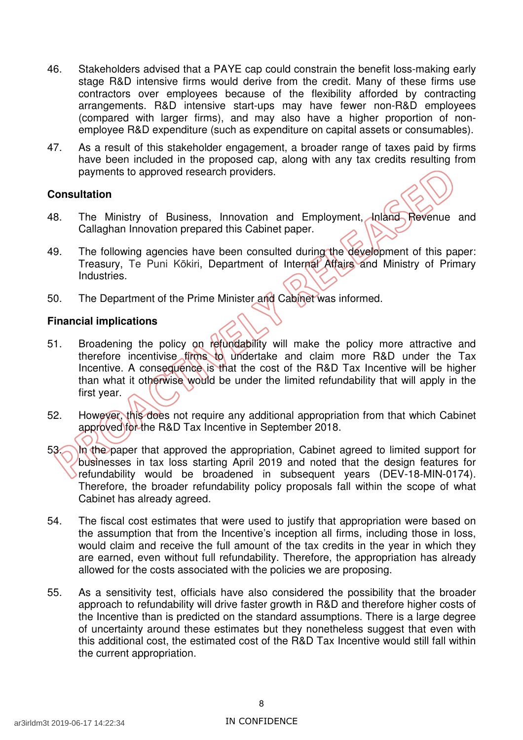- 46. Stakeholders advised that a PAYE cap could constrain the benefit loss-making early stage R&D intensive firms would derive from the credit. Many of these firms use contractors over employees because of the flexibility afforded by contracting arrangements. R&D intensive start-ups may have fewer non-R&D employees (compared with larger firms), and may also have a higher proportion of non-employee R&D expenditure (such as expenditure on capital assets or consumables).
- 47. As a result of this stakeholder engagement, a broader range of taxes paid by firms have been included in the proposed cap, along with any tax credits resulting from payments to approved research providers.

#### **Consultation**

- 48. The Ministry of Business, Innovation and Employment, Inland Revenue and Callaghan Innovation prepared this Cabinet paper.
- 49. The following agencies have been consulted during the development of this paper: Treasury, Te Puni Kōkiri, Department of Internal Affairs and Ministry of Primary Industries.
- 50. The Department of the Prime Minister and Cabinet was informed.

#### **Financial implications**

- 51. Broadening the policy on refundability will make the policy more attractive and therefore incentivise firms to undertake and claim more R&D under the Tax Incentive. A consequence is that the cost of the R&D Tax Incentive will be higher than what it otherwise would be under the limited refundability that will apply in the first year.
- 52. However, this does not require any additional appropriation from that which Cabinet approved for the R&D Tax Incentive in September 2018.
- 53. In the paper that approved the appropriation, Cabinet agreed to limited support for businesses in tax loss starting April 2019 and noted that the design features for refundability would be broadened in subsequent years (DEV-18-MIN-0174). Therefore, the broader refundability policy proposals fall within the scope of what Cabinet has already agreed.
- 54. The fiscal cost estimates that were used to justify that appropriation were based on the assumption that from the Incentive's inception all firms, including those in loss, would claim and receive the full amount of the tax credits in the year in which they are earned, even without full refundability. Therefore, the appropriation has already allowed for the costs associated with the policies we are proposing.
- 55. As a sensitivity test, officials have also considered the possibility that the broader approach to refundability will drive faster growth in R&D and therefore higher costs of the Incentive than is predicted on the standard assumptions. There is a large degree of uncertainty around these estimates but they nonetheless suggest that even with this additional cost, the estimated cost of the R&D Tax Incentive would still fall within the current appropriation.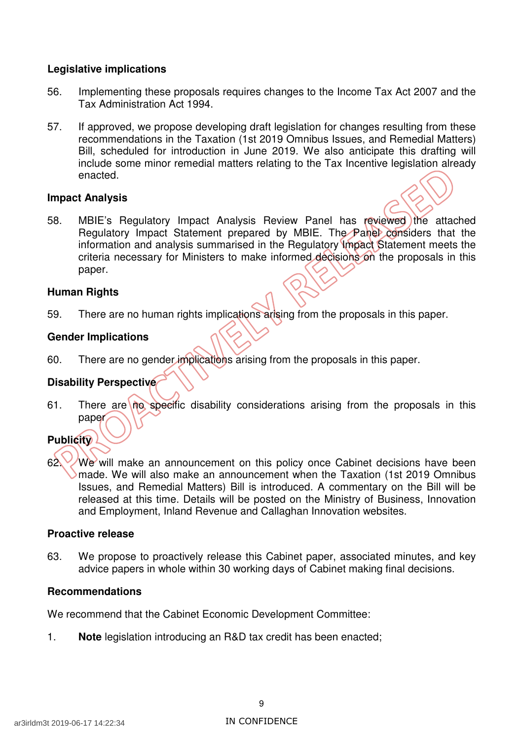#### **Legislative implications**

- 56. Implementing these proposals requires changes to the Income Tax Act 2007 and the Tax Administration Act 1994.
- 57. If approved, we propose developing draft legislation for changes resulting from these recommendations in the Taxation (1st 2019 Omnibus Issues, and Remedial Matters) Bill, scheduled for introduction in June 2019. We also anticipate this drafting will include some minor remedial matters relating to the Tax Incentive legislation already enacted.

#### **Impact Analysis**

58. MBIE's Regulatory Impact Analysis Review Panel has reviewed the attached Regulatory Impact Statement prepared by MBIE. The Panel considers that the information and analysis summarised in the Regulatory Impact Statement meets the criteria necessary for Ministers to make informed decisions on the proposals in this paper.

#### **Human Rights**

59. There are no human rights implications arising from the proposals in this paper.

### **Gender Implications**

60. There are no gender implications arising from the proposals in this paper.

### **Disability Perspective**

61. There are no specific disability considerations arising from the proposals in this paper

### **Publicity**

62. We will make an announcement on this policy once Cabinet decisions have been made. We will also make an announcement when the Taxation (1st 2019 Omnibus Issues, and Remedial Matters) Bill is introduced. A commentary on the Bill will be released at this time. Details will be posted on the Ministry of Business, Innovation and Employment, Inland Revenue and Callaghan Innovation websites.

#### **Proactive release**

63. We propose to proactively release this Cabinet paper, associated minutes, and key advice papers in whole within 30 working days of Cabinet making final decisions.

### **Recommendations**

We recommend that the Cabinet Economic Development Committee:

1. **Note** legislation introducing an R&D tax credit has been enacted;